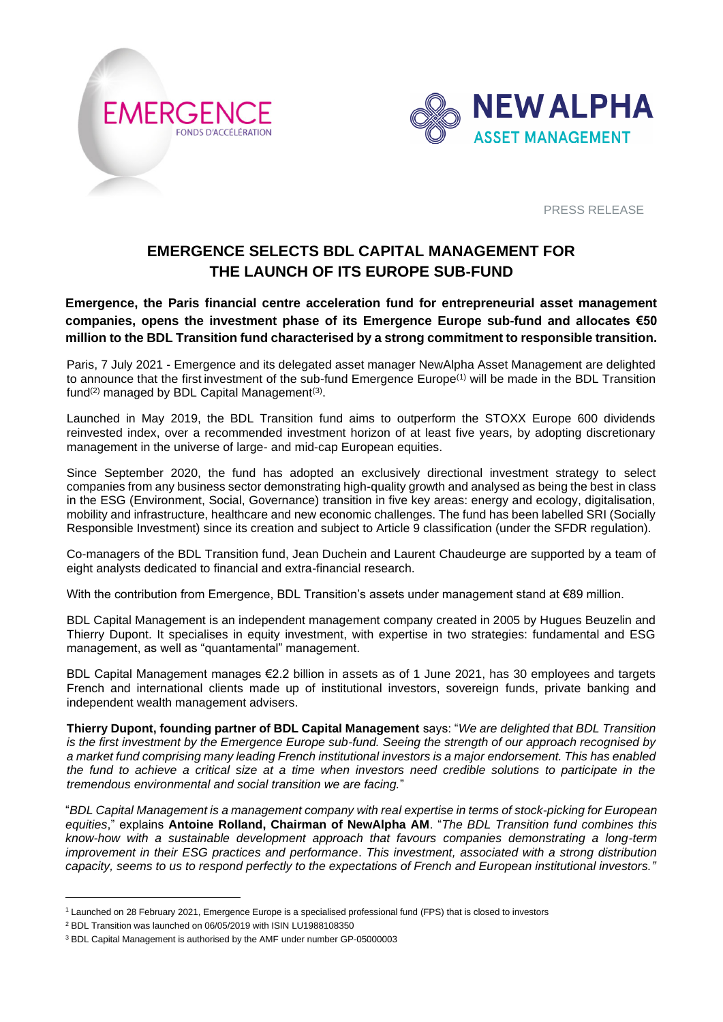



PRESS RELEASE

# **EMERGENCE SELECTS BDL CAPITAL MANAGEMENT FOR THE LAUNCH OF ITS EUROPE SUB-FUND**

**Emergence, the Paris financial centre acceleration fund for entrepreneurial asset management companies, opens the investment phase of its Emergence Europe sub-fund and allocates €50 million to the BDL Transition fund characterised by a strong commitment to responsible transition.**

Paris, 7 July 2021 - Emergence and its delegated asset manager NewAlpha Asset Management are delighted to announce that the first investment of the sub-fund Emergence Europe<sup>(1)</sup> will be made in the BDL Transition fund<sup>(2)</sup> managed by BDL Capital Management<sup>(3)</sup>.

Launched in May 2019, the BDL Transition fund aims to outperform the STOXX Europe 600 dividends reinvested index, over a recommended investment horizon of at least five years, by adopting discretionary management in the universe of large- and mid-cap European equities.

Since September 2020, the fund has adopted an exclusively directional investment strategy to select companies from any business sector demonstrating high-quality growth and analysed as being the best in class in the ESG (Environment, Social, Governance) transition in five key areas: energy and ecology, digitalisation, mobility and infrastructure, healthcare and new economic challenges. The fund has been labelled SRI (Socially Responsible Investment) since its creation and subject to Article 9 classification (under the SFDR regulation).

Co-managers of the BDL Transition fund, Jean Duchein and Laurent Chaudeurge are supported by a team of eight analysts dedicated to financial and extra-financial research.

With the contribution from Emergence, BDL Transition's assets under management stand at €89 million.

BDL Capital Management is an independent management company created in 2005 by Hugues Beuzelin and Thierry Dupont. It specialises in equity investment, with expertise in two strategies: fundamental and ESG management, as well as "quantamental" management.

BDL Capital Management manages €2.2 billion in assets as of 1 June 2021, has 30 employees and targets French and international clients made up of institutional investors, sovereign funds, private banking and independent wealth management advisers.

**Thierry Dupont, founding partner of BDL Capital Management** says: "*We are delighted that BDL Transition is the first investment by the Emergence Europe sub-fund. Seeing the strength of our approach recognised by a market fund comprising many leading French institutional investors is a major endorsement. This has enabled the fund to achieve a critical size at a time when investors need credible solutions to participate in the tremendous environmental and social transition we are facing.*"

"*BDL Capital Management is a management company with real expertise in terms of stock-picking for European equities*," explains **Antoine Rolland, Chairman of NewAlpha AM**. "*The BDL Transition fund combines this know-how with a sustainable development approach that favours companies demonstrating a long-term improvement in their ESG practices and performance*. *This investment, associated with a strong distribution capacity, seems to us to respond perfectly to the expectations of French and European institutional investors."*

<sup>1</sup> Launched on 28 February 2021, Emergence Europe is a specialised professional fund (FPS) that is closed to investors

<sup>2</sup> BDL Transition was launched on 06/05/2019 with ISIN LU1988108350

<sup>3</sup> BDL Capital Management is authorised by the AMF under number GP-05000003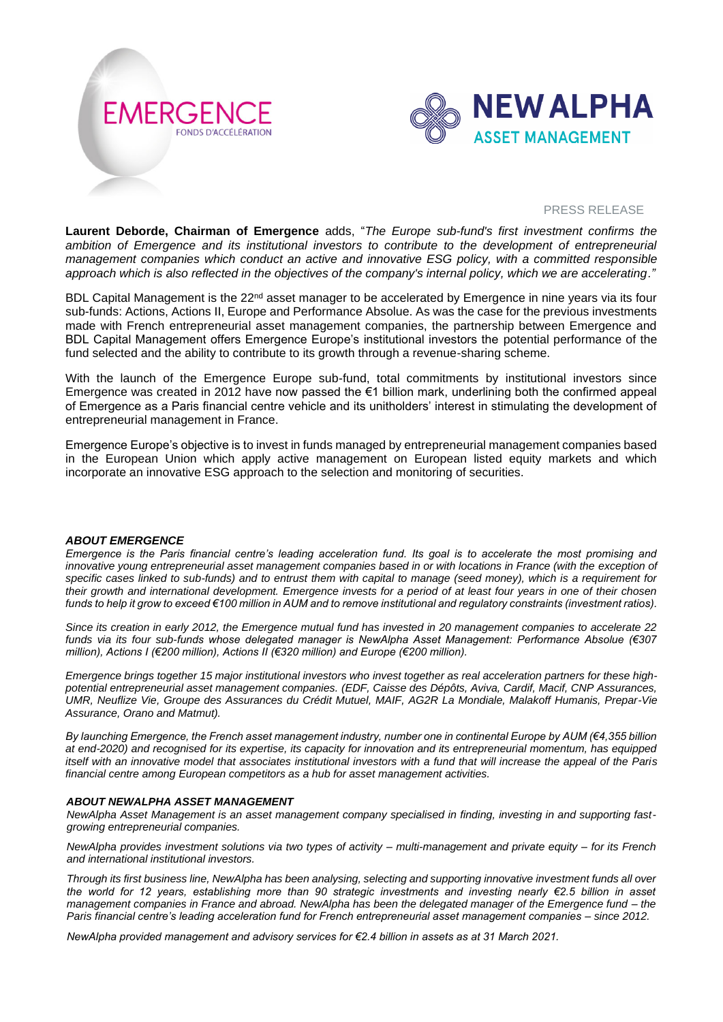



#### PRESS RELEASE

**Laurent Deborde, Chairman of Emergence** adds, "*The Europe sub-fund's first investment confirms the ambition of Emergence and its institutional investors to contribute to the development of entrepreneurial management companies which conduct an active and innovative ESG policy, with a committed responsible approach which is also reflected in the objectives of the company's internal policy, which we are accelerating*.*"*

BDL Capital Management is the 22<sup>nd</sup> asset manager to be accelerated by Emergence in nine years via its four sub-funds: Actions, Actions II, Europe and Performance Absolue. As was the case for the previous investments made with French entrepreneurial asset management companies, the partnership between Emergence and BDL Capital Management offers Emergence Europe's institutional investors the potential performance of the fund selected and the ability to contribute to its growth through a revenue-sharing scheme.

With the launch of the Emergence Europe sub-fund, total commitments by institutional investors since Emergence was created in 2012 have now passed the €1 billion mark, underlining both the confirmed appeal of Emergence as a Paris financial centre vehicle and its unitholders' interest in stimulating the development of entrepreneurial management in France.

Emergence Europe's objective is to invest in funds managed by entrepreneurial management companies based in the European Union which apply active management on European listed equity markets and which incorporate an innovative ESG approach to the selection and monitoring of securities.

### *ABOUT EMERGENCE*

*Emergence is the Paris financial centre's leading acceleration fund. Its goal is to accelerate the most promising and innovative young entrepreneurial asset management companies based in or with locations in France (with the exception of specific cases linked to sub-funds) and to entrust them with capital to manage (seed money), which is a requirement for their growth and international development. Emergence invests for a period of at least four years in one of their chosen funds to help it grow to exceed €100 million in AUM and to remove institutional and regulatory constraints (investment ratios).*

*Since its creation in early 2012, the Emergence mutual fund has invested in 20 management companies to accelerate 22 funds via its four sub-funds whose delegated manager is NewAlpha Asset Management: Performance Absolue (€307 million), Actions I (€200 million), Actions II (€320 million) and Europe (€200 million).*

*Emergence brings together 15 major institutional investors who invest together as real acceleration partners for these highpotential entrepreneurial asset management companies. (EDF, Caisse des Dépôts, Aviva, Cardif, Macif, CNP Assurances, UMR, Neuflize Vie, Groupe des Assurances du Crédit Mutuel, MAIF, AG2R La Mondiale, Malakoff Humanis, Prepar-Vie Assurance, Orano and Matmut).*

*By launching Emergence, the French asset management industry, number one in continental Europe by AUM (€4,355 billion at end-2020) and recognised for its expertise, its capacity for innovation and its entrepreneurial momentum, has equipped itself with an innovative model that associates institutional investors with a fund that will increase the appeal of the Paris financial centre among European competitors as a hub for asset management activities.*

#### *ABOUT NEWALPHA ASSET MANAGEMENT*

*NewAlpha Asset Management is an asset management company specialised in finding, investing in and supporting fastgrowing entrepreneurial companies.*

*NewAlpha provides investment solutions via two types of activity – multi-management and private equity – for its French and international institutional investors.*

*Through its first business line, NewAlpha has been analysing, selecting and supporting innovative investment funds all over the world for 12 years, establishing more than 90 strategic investments and investing nearly €2.5 billion in asset management companies in France and abroad. NewAlpha has been the delegated manager of the Emergence fund – the Paris financial centre's leading acceleration fund for French entrepreneurial asset management companies – since 2012.*

*NewAlpha provided management and advisory services for €2.4 billion in assets as at 31 March 2021.*